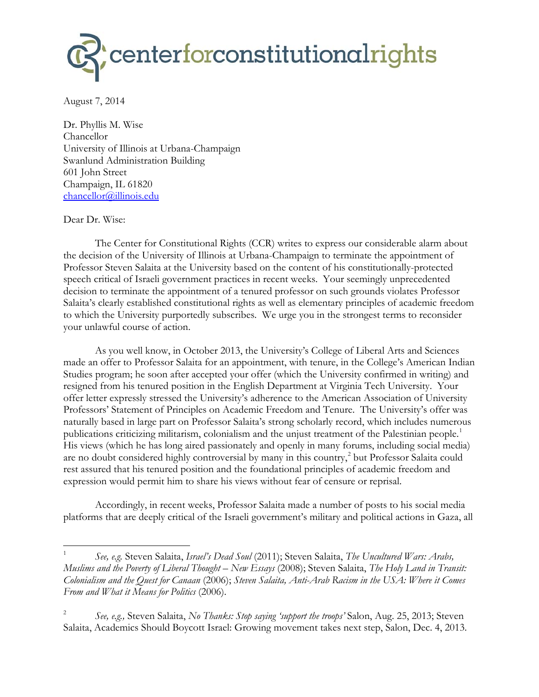

August 7, 2014

Dr. Phyllis M. Wise Chancellor University of Illinois at Urbana-Champaign Swanlund Administration Building 601 John Street Champaign, IL 61820 chancellor@illinois.edu

## Dear Dr. Wise:

 $\overline{\phantom{a}}$ 

The Center for Constitutional Rights (CCR) writes to express our considerable alarm about the decision of the University of Illinois at Urbana-Champaign to terminate the appointment of Professor Steven Salaita at the University based on the content of his constitutionally-protected speech critical of Israeli government practices in recent weeks. Your seemingly unprecedented decision to terminate the appointment of a tenured professor on such grounds violates Professor Salaita's clearly established constitutional rights as well as elementary principles of academic freedom to which the University purportedly subscribes. We urge you in the strongest terms to reconsider your unlawful course of action.

As you well know, in October 2013, the University's College of Liberal Arts and Sciences made an offer to Professor Salaita for an appointment, with tenure, in the College's American Indian Studies program; he soon after accepted your offer (which the University confirmed in writing) and resigned from his tenured position in the English Department at Virginia Tech University. Your offer letter expressly stressed the University's adherence to the American Association of University Professors' Statement of Principles on Academic Freedom and Tenure. The University's offer was naturally based in large part on Professor Salaita's strong scholarly record, which includes numerous publications criticizing militarism, colonialism and the unjust treatment of the Palestinian people.<sup>1</sup> His views (which he has long aired passionately and openly in many forums, including social media) are no doubt considered highly controversial by many in this country,<sup>2</sup> but Professor Salaita could rest assured that his tenured position and the foundational principles of academic freedom and expression would permit him to share his views without fear of censure or reprisal.

Accordingly, in recent weeks, Professor Salaita made a number of posts to his social media platforms that are deeply critical of the Israeli government's military and political actions in Gaza, all

<sup>1</sup> *See, e.g.* Steven Salaita, *Israel's Dead Soul* (2011); Steven Salaita, *The Uncultured Wars: Arabs, Muslims and the Poverty of Liberal Thought – New Essays* (2008); Steven Salaita, *The Holy Land in Transit: Colonialism and the Quest for Canaan* (2006); *Steven Salaita, Anti-Arab Racism in the USA: Where it Comes From and What it Means for Politics* (2006).

<sup>2</sup> *See, e.g.,* Steven Salaita, *No Thanks: Stop saying 'support the troops'* Salon, Aug. 25, 2013; Steven Salaita, Academics Should Boycott Israel: Growing movement takes next step, Salon, Dec. 4, 2013.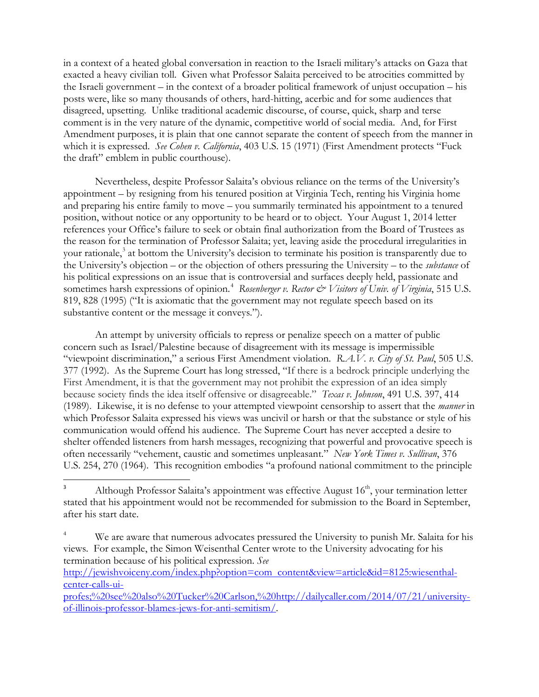in a context of a heated global conversation in reaction to the Israeli military's attacks on Gaza that exacted a heavy civilian toll. Given what Professor Salaita perceived to be atrocities committed by the Israeli government – in the context of a broader political framework of unjust occupation – his posts were, like so many thousands of others, hard-hitting, acerbic and for some audiences that disagreed, upsetting. Unlike traditional academic discourse, of course, quick, sharp and terse comment is in the very nature of the dynamic, competitive world of social media. And, for First Amendment purposes, it is plain that one cannot separate the content of speech from the manner in which it is expressed. *See Cohen v. California*, 403 U.S. 15 (1971) (First Amendment protects "Fuck the draft" emblem in public courthouse).

Nevertheless, despite Professor Salaita's obvious reliance on the terms of the University's appointment – by resigning from his tenured position at Virginia Tech, renting his Virginia home and preparing his entire family to move – you summarily terminated his appointment to a tenured position, without notice or any opportunity to be heard or to object. Your August 1, 2014 letter references your Office's failure to seek or obtain final authorization from the Board of Trustees as the reason for the termination of Professor Salaita; yet, leaving aside the procedural irregularities in your rationale,<sup>3</sup> at bottom the University's decision to terminate his position is transparently due to the University's objection – or the objection of others pressuring the University – to the *substance* of his political expressions on an issue that is controversial and surfaces deeply held, passionate and sometimes harsh expressions of opinion.<sup>4</sup> Rosenberger v. Rector & Visitors of Univ. of Virginia, 515 U.S. 819, 828 (1995) ("It is axiomatic that the government may not regulate speech based on its substantive content or the message it conveys.").

An attempt by university officials to repress or penalize speech on a matter of public concern such as Israel/Palestine because of disagreement with its message is impermissible "viewpoint discrimination," a serious First Amendment violation. *R.A.V. v. City of St. Paul*, 505 U.S. 377 (1992). As the Supreme Court has long stressed, "If there is a bedrock principle underlying the First Amendment, it is that the government may not prohibit the expression of an idea simply because society finds the idea itself offensive or disagreeable." *Texas v. Johnson*, 491 U.S. 397, 414 (1989). Likewise, it is no defense to your attempted viewpoint censorship to assert that the *manner* in which Professor Salaita expressed his views was uncivil or harsh or that the substance or style of his communication would offend his audience. The Supreme Court has never accepted a desire to shelter offended listeners from harsh messages, recognizing that powerful and provocative speech is often necessarily "vehement, caustic and sometimes unpleasant." *New York Times v. Sullivan*, 376 U.S. 254, 270 (1964). This recognition embodies "a profound national commitment to the principle

http://jewishvoiceny.com/index.php?option=com content&view=article&id=8125:wiesenthalcenter-calls-ui-

<sup>-&</sup>lt;br>3 Although Professor Salaita's appointment was effective August 16<sup>th</sup>, your termination letter stated that his appointment would not be recommended for submission to the Board in September, after his start date.

<sup>4</sup> We are aware that numerous advocates pressured the University to punish Mr. Salaita for his views. For example, the Simon Weisenthal Center wrote to the University advocating for his termination because of his political expression. *See*

profes;%20see%20also%20Tucker%20Carlson,%20http://dailycaller.com/2014/07/21/universityof-illinois-professor-blames-jews-for-anti-semitism/.